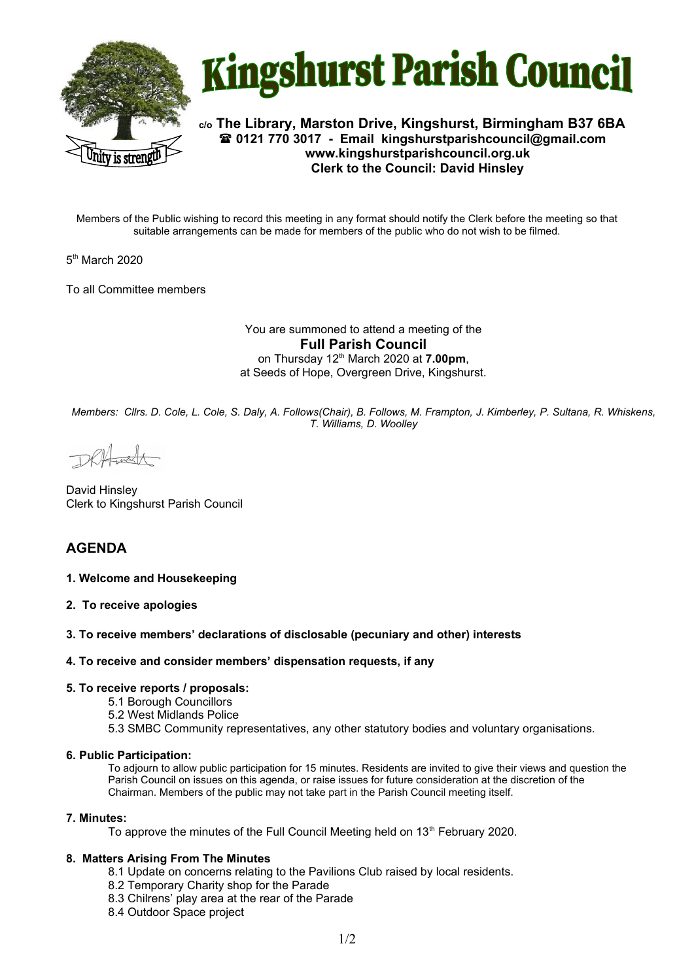



**c/o The Library, Marston Drive, Kingshurst, Birmingham B37 6BA 0121 770 3017 - Email [kingshurstparishcouncil@gmail.com](mailto:kingshurstparishcouncil@gmail.com) www.kingshurstparishcouncil.org.uk Clerk to the Council: David Hinsley** 

Members of the Public wishing to record this meeting in any format should notify the Clerk before the meeting so that suitable arrangements can be made for members of the public who do not wish to be filmed.

5<sup>th</sup> March 2020

To all Committee members

You are summoned to attend a meeting of the **Full Parish Council**  on Thursday 12th March 2020 at **7.00pm**, at Seeds of Hope, Overgreen Drive, Kingshurst.

*Members: Cllrs. D. Cole, L. Cole, S. Daly, A. Follows(Chair), B. Follows, M. Frampton, J. Kimberley, P. Sultana, R. Whiskens, T. Williams, D. Woolley*

DRHush

David Hinsley Clerk to Kingshurst Parish Council

# **AGENDA**

### **1. Welcome and Housekeeping**

**2. To receive apologies**

### **3. To receive members' declarations of disclosable (pecuniary and other) interests**

### **4. To receive and consider members' dispensation requests, if any**

### **5. To receive reports / proposals:**

- 5.1 Borough Councillors
- 5.2 West Midlands Police
- 5.3 SMBC Community representatives, any other statutory bodies and voluntary organisations.

### **6. Public Participation:**

To adjourn to allow public participation for 15 minutes. Residents are invited to give their views and question the Parish Council on issues on this agenda, or raise issues for future consideration at the discretion of the Chairman. Members of the public may not take part in the Parish Council meeting itself.

### **7. Minutes:**

To approve the minutes of the Full Council Meeting held on 13<sup>th</sup> February 2020.

### **8. Matters Arising From The Minutes**

- 8.1 Update on concerns relating to the Pavilions Club raised by local residents.
- 8.2 Temporary Charity shop for the Parade
- 8.3 Chilrens' play area at the rear of the Parade
- 8.4 Outdoor Space project